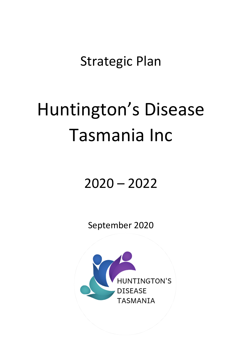# Strategic Plan

# Huntington's Disease Tasmania Inc

# 2020 – 2022

September 2020

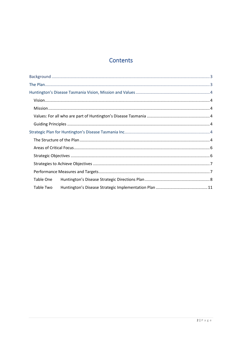### Contents

| Table One |  |
|-----------|--|
| Table Two |  |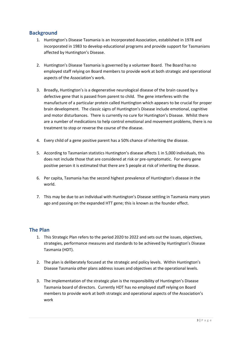#### <span id="page-2-0"></span>**Background**

- 1. Huntington's Disease Tasmania is an Incorporated Association, established in 1978 and incorporated in 1983 to develop educational programs and provide support for Tasmanians affected by Huntington's Disease.
- 2. Huntington's Disease Tasmania is governed by a volunteer Board. The Board has no employed staff relying on Board members to provide work at both strategic and operational aspects of the Association's work.
- 3. Broadly, Huntington's is a degenerative neurological disease of the brain caused by a defective gene that is passed from parent to child. The gene interferes with the manufacture of a particular protein called Huntington which appears to be crucial for proper brain development. The classic signs of Huntington's Disease include emotional, cognitive and motor disturbances. There is currently no cure for Huntington's Disease. Whilst there are a number of medications to help control emotional and movement problems, there is no treatment to stop or reverse the course of the disease.
- 4. Every child of a gene positive parent has a 50% chance of inheriting the disease.
- 5. According to Tasmanian statistics Huntington's disease affects 1 in 5,000 individuals, this does not include those that are considered at risk or pre-symptomatic. For every gene positive person it is estimated that there are 5 people at risk of inheriting the disease.
- 6. Per capita, Tasmania has the second highest prevalence of Huntington's disease in the world.
- 7. This may be due to an individual with Huntington's Disease settling in Tasmania many years ago and passing on the expanded HTT gene; this is known as the [founder effect.](https://huntingtonstasmania.org.au/the-founder-effect/)

#### <span id="page-2-1"></span>**The Plan**

- 1. This Strategic Plan refers to the period 2020 to 2022 and sets out the issues, objectives, strategies, performance measures and standards to be achieved by Huntington's Disease Tasmania (HDT).
- 2. The plan is deliberately focused at the strategic and policy levels. Within Huntington's Disease Tasmania other plans address issues and objectives at the operational levels.
- 3. The implementation of the strategic plan is the responsibility of Huntington's Disease Tasmania board of directors. Currently HDT has no employed staff relying on Board members to provide work at both strategic and operational aspects of the Association's work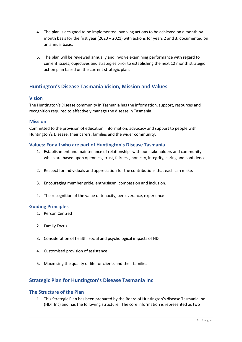- 4. The plan is designed to be implemented involving actions to be achieved on a month by month basis for the first year (2020 – 2021) with actions for years 2 and 3, documented on an annual basis.
- 5. The plan will be reviewed annually and involve examining performance with regard to current issues, objectives and strategies prior to establishing the next 12 month strategic action plan based on the current strategic plan.

#### <span id="page-3-0"></span>**Huntington's Disease Tasmania Vision, Mission and Values**

#### <span id="page-3-1"></span>**Vision**

The Huntington's Disease community in Tasmania has the information, support, resources and recognition required to effectively manage the disease in Tasmania.

#### <span id="page-3-2"></span>**Mission**

Committed to the provision of education, information, advocacy and support to people with Huntington's Disease, their carers, families and the wider community.

#### <span id="page-3-3"></span>**Values: For all who are part of Huntington's Disease Tasmania**

- 1. Establishment and maintenance of relationships with our stakeholders and community which are based upon openness, trust, fairness, honesty, integrity, caring and confidence.
- 2. Respect for individuals and appreciation for the contributions that each can make.
- 3. Encouraging member pride, enthusiasm, compassion and inclusion.
- 4. The recognition of the value of tenacity, perseverance, experience

#### <span id="page-3-4"></span>**Guiding Principles**

- 1. Person Centred
- 2. Family Focus
- 3. Consideration of health, social and psychological impacts of HD
- 4. Customised provision of assistance
- 5. Maxmising the quality of life for clients and their families

#### <span id="page-3-5"></span>**Strategic Plan for Huntington's Disease Tasmania Inc**

#### <span id="page-3-6"></span>**The Structure of the Plan**

1. This Strategic Plan has been prepared by the Board of Huntington's disease Tasmania Inc (HDT Inc) and has the following structure. The core information is represented as two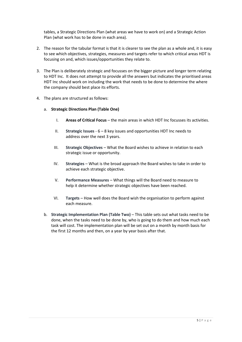tables, a Strategic Directions Plan (what areas we have to work on) and a Strategic Action Plan (what work has to be done in each area).

- 2. The reason for the tabular format is that it is clearer to see the plan as a whole and, it is easy to see which objectives, strategies, measures and targets refer to which critical areas HDT is focusing on and, which issues/opportunities they relate to.
- 3. The Plan is deliberately strategic and focusses on the bigger picture and longer term relating to HDT Inc. It does not attempt to provide all the answers but indicates the prioritised areas HDT Inc should work on including the work that needs to be done to determine the where the company should best place its efforts.
- 4. The plans are structured as follows:

#### a. **Strategic Directions Plan (Table One)**

- I. **Areas of Critical Focus** the main areas in which HDT Inc focusses its activities.
- II. **Strategic Issues** 6 8 key issues and opportunities HDT Inc needs to address over the next 3 years.
- III. **Strategic Objectives** What the Board wishes to achieve in relation to each strategic issue or opportunity.
- IV. **Strategies** What is the broad approach the Board wishes to take in order to achieve each strategic objective.
- V. **Performance Measures** What things will the Board need to measure to help it determine whether strategic objectives have been reached.
- VI. **Targets** How well does the Board wish the organisation to perform against each measure.
- b. **Strategic Implementation Plan (Table Two)** This table sets out what tasks need to be done, when the tasks need to be done by, who is going to do them and how much each task will cost. The implementation plan will be set out on a month by month basis for the first 12 months and then, on a year by year basis after that.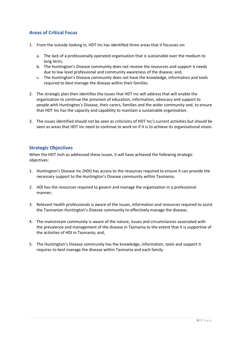#### <span id="page-5-0"></span>**Areas of Critical Focus**

- 1. From the outside looking in, HDT Inc has identified three areas that it focusses on:
	- a. The lack of a professionally operated organisation that is sustainable over the medium to long term;
	- b. The Huntington's Disease community does not receive the resources and support it needs due to low level professional and community awareness of the disease; and,
	- c. The Huntington's Disease community does not have the knowledge, information and tools required to best manage the disease within their families.
- 2. The strategic plan then identifies the issues that HDT Inc will address that will enable the organisation to continue the provision of education, information, advocacy and support to people with Huntington's Disease, their carers, families and the wider community and, to ensure that HDT Inc has the capacity and capability to maintain a sustainable organisation.
- 3. The issues identified should not be seen as criticisms of HDT Inc's current activities but should be seen as areas that HDT Inc need to continue to work on if it is to achieve its organisational vision.

#### <span id="page-5-1"></span>**Strategic Objectives**

When the HDT Inch as addressed these issues, it will have achieved the following strategic objectives:

- 1. Huntington's Disease Inc (HDI) has access to the resources required to ensure it can provide the necessary support to the Huntington's Disease community within Tasmania;
- 2. HDI has the resources required to govern and manage the organisation in a professional manner;
- 3. Relevant health professionals is aware of the issues, information and resources required to assist the Tasmanian Huntington's Disease community to effectively manage the disease;
- 4. The mainstream community is aware of the nature, issues and circumstances associated with the prevalence and management of the disease in Tasmania to the extent that it is supportive of the activities of HDI in Tasmania; and,
- 5. The Huntington's Disease community has the knowledge, information, tools and support it requires to best manage the disease within Tasmania and each family.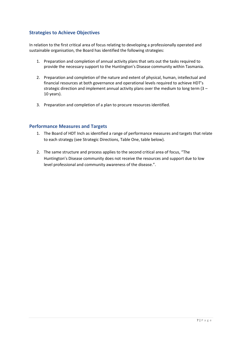#### <span id="page-6-0"></span>**Strategies to Achieve Objectives**

In relation to the first critical area of focus relating to developing a professionally operated and sustainable organisation, the Board has identified the following strategies:

- 1. Preparation and completion of annual activity plans that sets out the tasks required to provide the necessary support to the Huntington's Disease community within Tasmania.
- 2. Preparation and completion of the nature and extent of physical, human, intellectual and financial resources at both governance and operational levels required to achieve HDT's strategic direction and implement annual activity plans over the medium to long term (3 – 10 years).
- 3. Preparation and completion of a plan to procure resources identified.

#### <span id="page-6-1"></span>**Performance Measures and Targets**

- 1. The Board of HDT Inch as identified a range of performance measures and targets that relate to each strategy (see Strategic Directions, Table One, table below).
- 2. The same structure and process applies to the second critical area of focus, "The Huntington's Disease community does not receive the resources and support due to low level professional and community awareness of the disease.".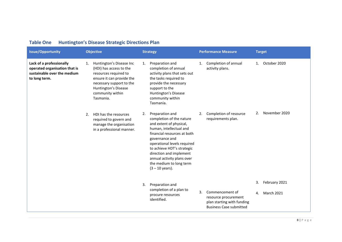<span id="page-7-0"></span>

| <b>Issue/Opportunity</b>                                                                                  |    | <b>Objective</b>                                                                                                                                                                               |    | <b>Strategy</b>                                                                                                                                                                                                                                                                                                          |    | <b>Performance Measure</b>                                                                              | <b>Target</b> |                             |
|-----------------------------------------------------------------------------------------------------------|----|------------------------------------------------------------------------------------------------------------------------------------------------------------------------------------------------|----|--------------------------------------------------------------------------------------------------------------------------------------------------------------------------------------------------------------------------------------------------------------------------------------------------------------------------|----|---------------------------------------------------------------------------------------------------------|---------------|-----------------------------|
| Lack of a professionally<br>operated organisation that is<br>sustainable over the medium<br>to long term. | 1. | Huntington's Disease Inc<br>(HDI) has access to the<br>resources required to<br>ensure it can provide the<br>necessary support to the<br>Huntington's Disease<br>community within<br>Tasmania. | 1. | Preparation and<br>completion of annual<br>activity plans that sets out<br>the tasks required to<br>provide the necessary<br>support to the<br>Huntington's Disease<br>community within<br>Tasmania.                                                                                                                     | 1. | Completion of annual<br>activity plans.                                                                 | 1.            | October 2020                |
|                                                                                                           | 2. | HDI has the resources<br>required to govern and<br>manage the organisation<br>in a professional manner.                                                                                        | 2. | Preparation and<br>completion of the nature<br>and extent of physical,<br>human, intellectual and<br>financial resources at both<br>governance and<br>operational levels required<br>to achieve HDT's strategic<br>direction and implement<br>annual activity plans over<br>the medium to long term<br>$(3 - 10$ years). | 2. | Completion of resource<br>requirements plan.                                                            | 2.            | November 2020               |
|                                                                                                           |    |                                                                                                                                                                                                | 3. | Preparation and<br>completion of a plan to<br>procure resources<br>identified.                                                                                                                                                                                                                                           | 3. | Commencement of<br>resource procurement<br>plan starting with funding<br><b>Business Case submitted</b> | 3.<br>4.      | February 2021<br>March 2021 |

## **Table One Huntington's Disease Strategic Directions Plan**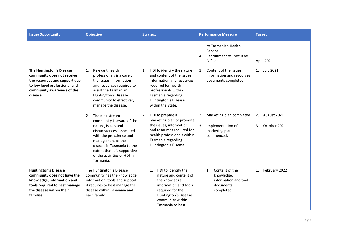| <b>Issue/Opportunity</b>                                                                                                                                           | <b>Objective</b>                                                                                                                                                                                                                                              | <b>Strategy</b>                                                                                                                                                                                               | <b>Performance Measure</b>                                                                 | <b>Target</b>                           |
|--------------------------------------------------------------------------------------------------------------------------------------------------------------------|---------------------------------------------------------------------------------------------------------------------------------------------------------------------------------------------------------------------------------------------------------------|---------------------------------------------------------------------------------------------------------------------------------------------------------------------------------------------------------------|--------------------------------------------------------------------------------------------|-----------------------------------------|
|                                                                                                                                                                    |                                                                                                                                                                                                                                                               |                                                                                                                                                                                                               | to Tasmanian Health<br>Service.<br><b>Recruitment of Executive</b><br>4.<br>Officer        | April 2021                              |
| The Huntington's Disease<br>community does not receive<br>the resources and support due<br>to low level professional and<br>community awareness of the<br>disease. | Relevant health<br>1.<br>professionals is aware of<br>the issues, information<br>and resources required to<br>assist the Tasmanian<br>Huntington's Disease<br>community to effectively<br>manage the disease.                                                 | HDI to identify the nature<br>1.<br>and content of the issues,<br>information and resources<br>required for health<br>professionals within<br>Tasmania regarding<br>Huntington's Disease<br>within the State. | Content of the issues.<br>1.<br>information and resources<br>documents completed.          | 1. July 2021                            |
|                                                                                                                                                                    | The mainstream<br>2.<br>community is aware of the<br>nature, issues and<br>circumstances associated<br>with the prevalence and<br>management of the<br>disease in Tasmania to the<br>extent that it is supportive<br>of the activities of HDI in<br>Tasmania. | HDI to prepare a<br>2.<br>marketing plan to promote<br>the issues, information<br>and resources required for<br>health professionals within<br>Tasmania regarding<br>Huntington's Disease.                    | Marketing plan completed.<br>2.<br>Implementation of<br>3.<br>marketing plan<br>commenced. | August 2021<br>2.<br>October 2021<br>3. |
| <b>Huntington's Disease</b><br>community does not have the<br>knowledge, information and<br>tools required to best manage<br>the disease within their<br>families. | The Huntington's Disease<br>community has the knowledge,<br>information, tools and support<br>it requires to best manage the<br>disease within Tasmania and<br>each family.                                                                                   | HDI to identify the<br>1.<br>nature and content of<br>the knowledge,<br>information and tools<br>required for the<br>Huntington's Disease<br>community within<br>Tasmania to best                             | Content of the<br>1.<br>knowledge,<br>information and tools<br>documents<br>completed.     | February 2022<br>1.                     |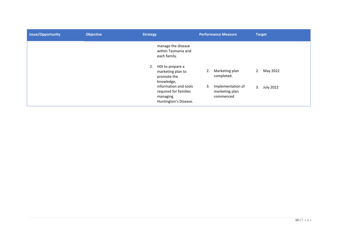| <b>Issue/Opportunity</b> | <b>Objective</b> | <b>Strategy</b>                                                                     | <b>Performance Measure</b>                             | <b>Target</b>  |
|--------------------------|------------------|-------------------------------------------------------------------------------------|--------------------------------------------------------|----------------|
|                          |                  | manage the disease<br>within Tasmania and<br>each family.                           |                                                        |                |
|                          |                  | 2.<br>HDI to prepare a<br>marketing plan to<br>promote the<br>knowledge,            | Marketing plan<br>2.<br>completed.                     | May 2022<br>2. |
|                          |                  | information and tools<br>required for families<br>managing<br>Huntington's Disease. | Implementation of<br>3.<br>marketing plan<br>commenced | 3. July 2022   |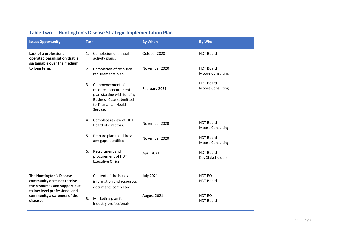<span id="page-10-0"></span>

| <b>Issue/Opportunity</b>                                                                                                                                           | <b>Task</b> |                                                                                                                                            | <b>By When</b>   | <b>By Who</b>                               |  |
|--------------------------------------------------------------------------------------------------------------------------------------------------------------------|-------------|--------------------------------------------------------------------------------------------------------------------------------------------|------------------|---------------------------------------------|--|
| Lack of a professional<br>operated organisation that is<br>sustainable over the medium                                                                             |             | Completion of annual<br>activity plans.                                                                                                    | October 2020     | <b>HDT Board</b>                            |  |
| to long term.                                                                                                                                                      | 2.          | Completion of resource<br>requirements plan.                                                                                               | November 2020    | <b>HDT Board</b><br><b>Moore Consulting</b> |  |
|                                                                                                                                                                    | 3.          | Commencement of<br>resource procurement<br>plan starting with funding<br><b>Business Case submitted</b><br>to Tasmanian Health<br>Service. | February 2021    | <b>HDT Board</b><br><b>Moore Consulting</b> |  |
|                                                                                                                                                                    |             | Complete review of HDT<br>Board of directors.                                                                                              | November 2020    | <b>HDT Board</b><br><b>Moore Consulting</b> |  |
|                                                                                                                                                                    |             | Prepare plan to address<br>any gaps identified                                                                                             | November 2020    | <b>HDT Board</b><br><b>Moore Consulting</b> |  |
|                                                                                                                                                                    | 6.          | Recruitment and<br>procurement of HDT<br><b>Executive Officer</b>                                                                          | April 2021       | <b>HDT Board</b><br>Key Stakeholders        |  |
| The Huntington's Disease<br>community does not receive<br>the resources and support due<br>to low level professional and<br>community awareness of the<br>disease. |             | Content of the issues,<br>information and resources<br>documents completed.                                                                | <b>July 2021</b> | HDT EO<br><b>HDT Board</b>                  |  |
|                                                                                                                                                                    | 3.          | Marketing plan for<br>industry professionals                                                                                               | August 2021      | HDT EO<br><b>HDT Board</b>                  |  |

## **Table Two Huntington's Disease Strategic Implementation Plan**